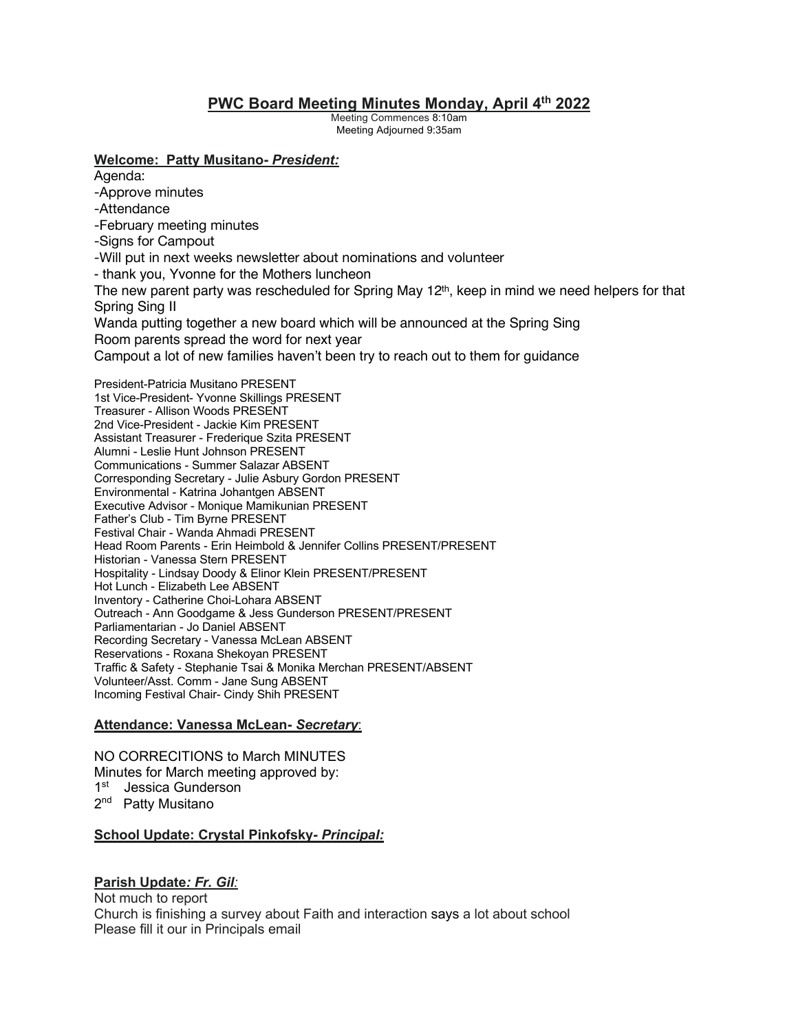# **PWC Board Meeting Minutes Monday, April 4th 2022**

Meeting Commences 8:10am Meeting Adjourned 9:35am

### **Welcome: Patty Musitano-** *President:*

Agenda:

-Approve minutes

-Attendance

- -February meeting minutes
- -Signs for Campout
- -Will put in next weeks newsletter about nominations and volunteer
- thank you, Yvonne for the Mothers luncheon

The new parent party was rescheduled for Spring May  $12<sup>th</sup>$ , keep in mind we need helpers for that Spring Sing II

Wanda putting together a new board which will be announced at the Spring Sing Room parents spread the word for next year

Campout a lot of new families haven't been try to reach out to them for guidance

President-Patricia Musitano PRESENT 1st Vice-President- Yvonne Skillings PRESENT Treasurer - Allison Woods PRESENT 2nd Vice-President - Jackie Kim PRESENT Assistant Treasurer - Frederique Szita PRESENT Alumni - Leslie Hunt Johnson PRESENT Communications - Summer Salazar ABSENT Corresponding Secretary - Julie Asbury Gordon PRESENT Environmental - Katrina Johantgen ABSENT Executive Advisor - Monique Mamikunian PRESENT Father's Club - Tim Byrne PRESENT Festival Chair - Wanda Ahmadi PRESENT Head Room Parents - Erin Heimbold & Jennifer Collins PRESENT/PRESENT Historian - Vanessa Stern PRESENT Hospitality - Lindsay Doody & Elinor Klein PRESENT/PRESENT Hot Lunch - Elizabeth Lee ABSENT Inventory - Catherine Choi-Lohara ABSENT Outreach - Ann Goodgame & Jess Gunderson PRESENT/PRESENT Parliamentarian - Jo Daniel ABSENT Recording Secretary - Vanessa McLean ABSENT Reservations - Roxana Shekoyan PRESENT Traffic & Safety - Stephanie Tsai & Monika Merchan PRESENT/ABSENT Volunteer/Asst. Comm - Jane Sung ABSENT Incoming Festival Chair- Cindy Shih PRESENT

# **Attendance: Vanessa McLean-** *Secretary*:

NO CORRECITIONS to March MINUTES Minutes for March meeting approved by: 1st Jessica Gunderson 2<sup>nd</sup> Patty Musitano

# **School Update: Crystal Pinkofsky***- Principal:*

# **Parish Update***: Fr. Gil:*

Not much to report Church is finishing a survey about Faith and interaction says a lot about school Please fill it our in Principals email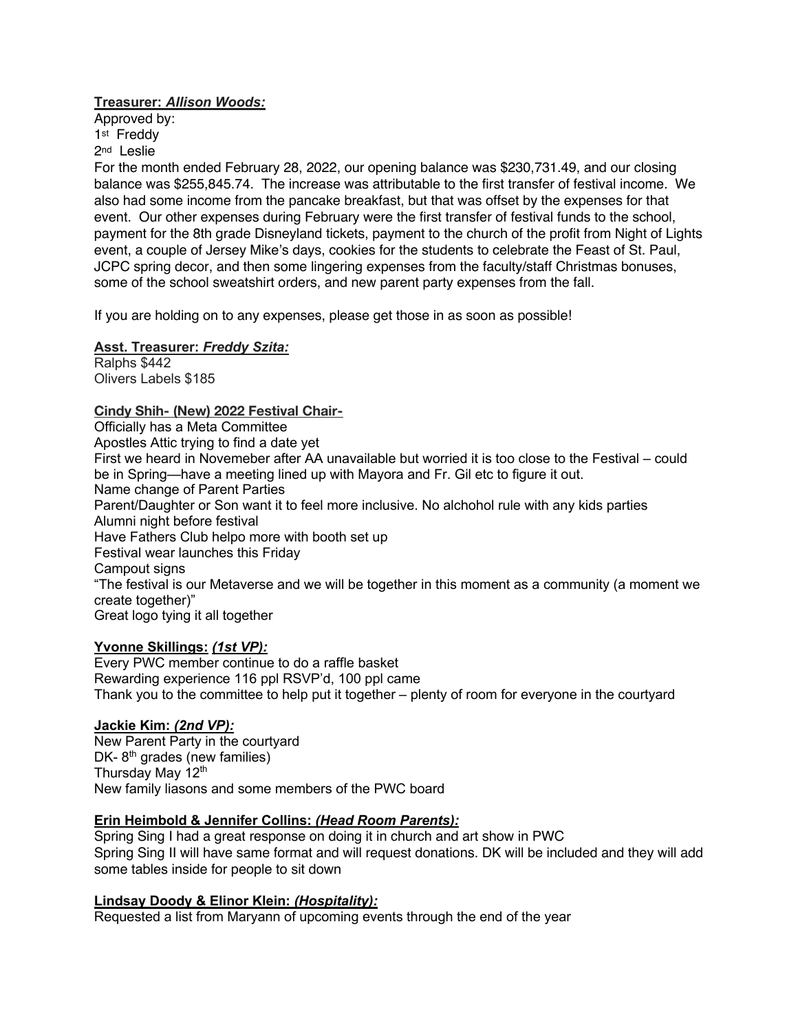## **Treasurer:** *Allison Woods:*

Approved by: 1<sup>st</sup> Freddy 2nd Leslie

For the month ended February 28, 2022, our opening balance was \$230,731.49, and our closing balance was \$255,845.74. The increase was attributable to the first transfer of festival income. We also had some income from the pancake breakfast, but that was offset by the expenses for that event. Our other expenses during February were the first transfer of festival funds to the school, payment for the 8th grade Disneyland tickets, payment to the church of the profit from Night of Lights event, a couple of Jersey Mike's days, cookies for the students to celebrate the Feast of St. Paul, JCPC spring decor, and then some lingering expenses from the faculty/staff Christmas bonuses, some of the school sweatshirt orders, and new parent party expenses from the fall.

If you are holding on to any expenses, please get those in as soon as possible!

# **Asst. Treasurer:** *Freddy Szita:*

Ralphs \$442 Olivers Labels \$185

## **Cindy Shih- (New) 2022 Festival Chair-**

Officially has a Meta Committee Apostles Attic trying to find a date yet First we heard in Novemeber after AA unavailable but worried it is too close to the Festival – could be in Spring—have a meeting lined up with Mayora and Fr. Gil etc to figure it out. Name change of Parent Parties Parent/Daughter or Son want it to feel more inclusive. No alchohol rule with any kids parties Alumni night before festival Have Fathers Club helpo more with booth set up Festival wear launches this Friday Campout signs "The festival is our Metaverse and we will be together in this moment as a community (a moment we create together)" Great logo tying it all together

#### **Yvonne Skillings:** *(1st VP):*

Every PWC member continue to do a raffle basket Rewarding experience 116 ppl RSVP'd, 100 ppl came Thank you to the committee to help put it together – plenty of room for everyone in the courtyard

### **Jackie Kim:** *(2nd VP):*

New Parent Party in the courtyard DK- $8<sup>th</sup>$  grades (new families) Thursday May 12<sup>th</sup> New family liasons and some members of the PWC board

#### **Erin Heimbold & Jennifer Collins:** *(Head Room Parents):*

Spring Sing I had a great response on doing it in church and art show in PWC Spring Sing II will have same format and will request donations. DK will be included and they will add some tables inside for people to sit down

#### **Lindsay Doody & Elinor Klein:** *(Hospitality):*

Requested a list from Maryann of upcoming events through the end of the year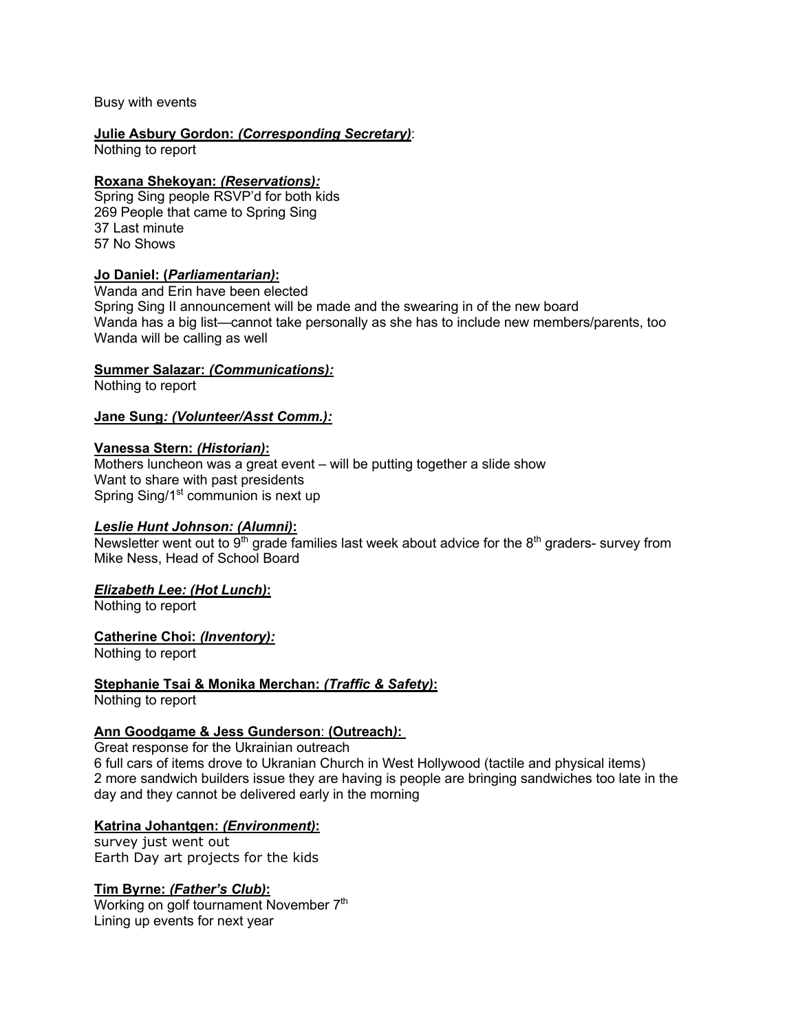Busy with events

# **Julie Asbury Gordon:** *(Corresponding Secretary)*:

Nothing to report

### **Roxana Shekoyan:** *(Reservations):*

Spring Sing people RSVP'd for both kids 269 People that came to Spring Sing 37 Last minute 57 No Shows

#### **Jo Daniel: (***Parliamentarian)***:**

Wanda and Erin have been elected Spring Sing II announcement will be made and the swearing in of the new board Wanda has a big list—cannot take personally as she has to include new members/parents, too Wanda will be calling as well

## **Summer Salazar:** *(Communications):*

Nothing to report

#### **Jane Sung***: (Volunteer/Asst Comm.):*

#### **Vanessa Stern:** *(Historian)***:**

Mothers luncheon was a great event – will be putting together a slide show Want to share with past presidents Spring Sing/1<sup>st</sup> communion is next up

#### *Leslie Hunt Johnson: (Alumni)***:**

Newsletter went out to 9<sup>th</sup> grade families last week about advice for the 8<sup>th</sup> graders- survey from Mike Ness, Head of School Board

# *Elizabeth Lee: (Hot Lunch)***:**

Nothing to report

#### **Catherine Choi:** *(Inventory):*

Nothing to report

# **Stephanie Tsai & Monika Merchan:** *(Traffic & Safety)***:**

Nothing to report

# **Ann Goodgame & Jess Gunderson**: **(Outreach***)***:**

Great response for the Ukrainian outreach 6 full cars of items drove to Ukranian Church in West Hollywood (tactile and physical items) 2 more sandwich builders issue they are having is people are bringing sandwiches too late in the day and they cannot be delivered early in the morning

#### **Katrina Johantgen:** *(Environment)***:**

survey just went out Earth Day art projects for the kids

#### **Tim Byrne:** *(Father's Club)***:**

Working on golf tournament November 7<sup>th</sup> Lining up events for next year